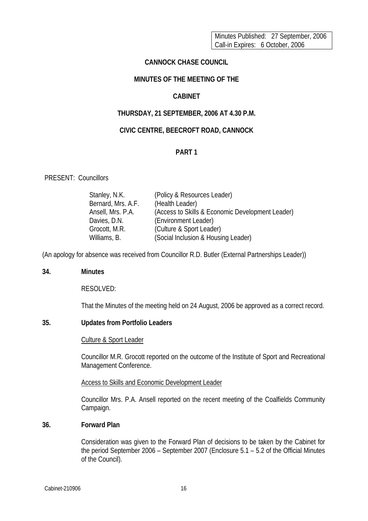Minutes Published: 27 September, 2006 Call-in Expires: 6 October, 2006

### **CANNOCK CHASE COUNCIL**

## **MINUTES OF THE MEETING OF THE**

# **CABINET**

# **THURSDAY, 21 SEPTEMBER, 2006 AT 4.30 P.M.**

# **CIVIC CENTRE, BEECROFT ROAD, CANNOCK**

# **PART 1**

### PRESENT: Councillors

| (Policy & Resources Leader)                      |
|--------------------------------------------------|
| (Health Leader)                                  |
| (Access to Skills & Economic Development Leader) |
| (Environment Leader)                             |
| (Culture & Sport Leader)                         |
| (Social Inclusion & Housing Leader)              |
|                                                  |

(An apology for absence was received from Councillor R.D. Butler (External Partnerships Leader))

### **34. Minutes**

RESOLVED:

That the Minutes of the meeting held on 24 August, 2006 be approved as a correct record.

# **35. Updates from Portfolio Leaders**

### Culture & Sport Leader

Councillor M.R. Grocott reported on the outcome of the Institute of Sport and Recreational Management Conference.

### Access to Skills and Economic Development Leader

Councillor Mrs. P.A. Ansell reported on the recent meeting of the Coalfields Community Campaign.

## **36. Forward Plan**

Consideration was given to the Forward Plan of decisions to be taken by the Cabinet for the period September 2006 – September 2007 (Enclosure 5.1 – 5.2 of the Official Minutes of the Council).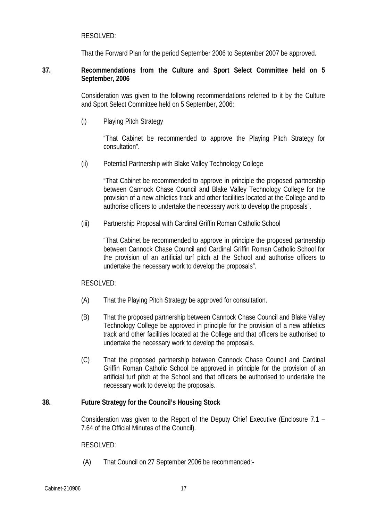### RESOLVED:

That the Forward Plan for the period September 2006 to September 2007 be approved.

#### **37. Recommendations from the Culture and Sport Select Committee held on 5 September, 2006**

Consideration was given to the following recommendations referred to it by the Culture and Sport Select Committee held on 5 September, 2006:

(i) Playing Pitch Strategy

"That Cabinet be recommended to approve the Playing Pitch Strategy for consultation".

(ii) Potential Partnership with Blake Valley Technology College

"That Cabinet be recommended to approve in principle the proposed partnership between Cannock Chase Council and Blake Valley Technology College for the provision of a new athletics track and other facilities located at the College and to authorise officers to undertake the necessary work to develop the proposals".

(iii) Partnership Proposal with Cardinal Griffin Roman Catholic School

"That Cabinet be recommended to approve in principle the proposed partnership between Cannock Chase Council and Cardinal Griffin Roman Catholic School for the provision of an artificial turf pitch at the School and authorise officers to undertake the necessary work to develop the proposals".

### RESOLVED:

- (A) That the Playing Pitch Strategy be approved for consultation.
- (B) That the proposed partnership between Cannock Chase Council and Blake Valley Technology College be approved in principle for the provision of a new athletics track and other facilities located at the College and that officers be authorised to undertake the necessary work to develop the proposals.
- (C) That the proposed partnership between Cannock Chase Council and Cardinal Griffin Roman Catholic School be approved in principle for the provision of an artificial turf pitch at the School and that officers be authorised to undertake the necessary work to develop the proposals.

#### **38. Future Strategy for the Council's Housing Stock**

Consideration was given to the Report of the Deputy Chief Executive (Enclosure 7.1 – 7.64 of the Official Minutes of the Council).

#### RESOLVED:

(A) That Council on 27 September 2006 be recommended:-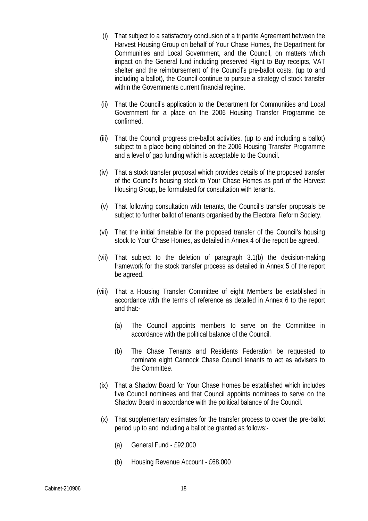- (i) That subject to a satisfactory conclusion of a tripartite Agreement between the Harvest Housing Group on behalf of Your Chase Homes, the Department for Communities and Local Government, and the Council, on matters which impact on the General fund including preserved Right to Buy receipts, VAT shelter and the reimbursement of the Council's pre-ballot costs, (up to and including a ballot), the Council continue to pursue a strategy of stock transfer within the Governments current financial regime.
- (ii) That the Council's application to the Department for Communities and Local Government for a place on the 2006 Housing Transfer Programme be confirmed.
- (iii) That the Council progress pre-ballot activities, (up to and including a ballot) subject to a place being obtained on the 2006 Housing Transfer Programme and a level of gap funding which is acceptable to the Council.
- (iv) That a stock transfer proposal which provides details of the proposed transfer of the Council's housing stock to Your Chase Homes as part of the Harvest Housing Group, be formulated for consultation with tenants.
- (v) That following consultation with tenants, the Council's transfer proposals be subject to further ballot of tenants organised by the Electoral Reform Society.
- (vi) That the initial timetable for the proposed transfer of the Council's housing stock to Your Chase Homes, as detailed in Annex 4 of the report be agreed.
- (vii) That subject to the deletion of paragraph 3.1(b) the decision-making framework for the stock transfer process as detailed in Annex 5 of the report be agreed.
- (viii) That a Housing Transfer Committee of eight Members be established in accordance with the terms of reference as detailed in Annex 6 to the report and that:-
	- (a) The Council appoints members to serve on the Committee in accordance with the political balance of the Council.
	- (b) The Chase Tenants and Residents Federation be requested to nominate eight Cannock Chase Council tenants to act as advisers to the Committee.
- (ix) That a Shadow Board for Your Chase Homes be established which includes five Council nominees and that Council appoints nominees to serve on the Shadow Board in accordance with the political balance of the Council.
- (x) That supplementary estimates for the transfer process to cover the pre-ballot period up to and including a ballot be granted as follows:-
	- (a) General Fund £92,000
	- (b) Housing Revenue Account £68,000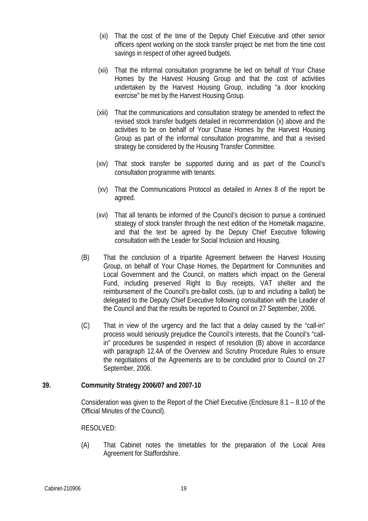- (xi) That the cost of the time of the Deputy Chief Executive and other senior officers spent working on the stock transfer project be met from the time cost savings in respect of other agreed budgets.
- (xii) That the informal consultation programme be led on behalf of Your Chase Homes by the Harvest Housing Group and that the cost of activities undertaken by the Harvest Housing Group, including "a door knocking exercise" be met by the Harvest Housing Group.
- (xiii) That the communications and consultation strategy be amended to reflect the revised stock transfer budgets detailed in recommendation (x) above and the activities to be on behalf of Your Chase Homes by the Harvest Housing Group as part of the informal consultation programme, and that a revised strategy be considered by the Housing Transfer Committee.
- (xiv) That stock transfer be supported during and as part of the Council's consultation programme with tenants.
- (xv) That the Communications Protocol as detailed in Annex 8 of the report be agreed.
- (xvi) That all tenants be informed of the Council's decision to pursue a continued strategy of stock transfer through the next edition of the Hometalk magazine, and that the text be agreed by the Deputy Chief Executive following consultation with the Leader for Social Inclusion and Housing.
- (B) That the conclusion of a tripartite Agreement between the Harvest Housing Group, on behalf of Your Chase Homes, the Department for Communities and Local Government and the Council, on matters which impact on the General Fund, including preserved Right to Buy receipts, VAT shelter and the reimbursement of the Council's pre-ballot costs, (up to and including a ballot) be delegated to the Deputy Chief Executive following consultation with the Leader of the Council and that the results be reported to Council on 27 September, 2006.
- (C) That in view of the urgency and the fact that a delay caused by the "call-in" process would seriously prejudice the Council's interests, that the Council's "callin" procedures be suspended in respect of resolution (B) above in accordance with paragraph 12.4A of the Overview and Scrutiny Procedure Rules to ensure the negotiations of the Agreements are to be concluded prior to Council on 27 September, 2006.

# **39. Community Strategy 2006/07 and 2007-10**

Consideration was given to the Report of the Chief Executive (Enclosure 8.1 – 8.10 of the Official Minutes of the Council).

### RESOLVED:

(A) That Cabinet notes the timetables for the preparation of the Local Area Agreement for Staffordshire.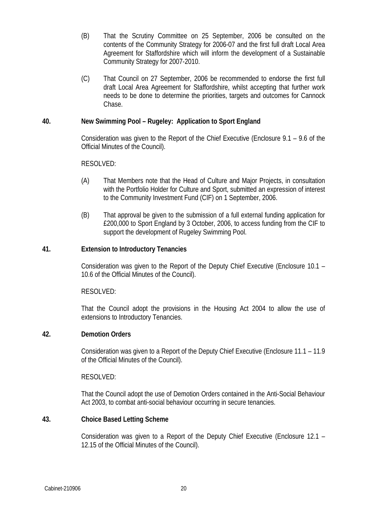- (B) That the Scrutiny Committee on 25 September, 2006 be consulted on the contents of the Community Strategy for 2006-07 and the first full draft Local Area Agreement for Staffordshire which will inform the development of a Sustainable Community Strategy for 2007-2010.
- (C) That Council on 27 September, 2006 be recommended to endorse the first full draft Local Area Agreement for Staffordshire, whilst accepting that further work needs to be done to determine the priorities, targets and outcomes for Cannock Chase.

# **40. New Swimming Pool – Rugeley: Application to Sport England**

Consideration was given to the Report of the Chief Executive (Enclosure 9.1 – 9.6 of the Official Minutes of the Council).

### RESOLVED:

- (A) That Members note that the Head of Culture and Major Projects, in consultation with the Portfolio Holder for Culture and Sport, submitted an expression of interest to the Community Investment Fund (CIF) on 1 September, 2006.
- (B) That approval be given to the submission of a full external funding application for £200,000 to Sport England by 3 October, 2006, to access funding from the CIF to support the development of Rugeley Swimming Pool.

## **41. Extension to Introductory Tenancies**

Consideration was given to the Report of the Deputy Chief Executive (Enclosure 10.1 – 10.6 of the Official Minutes of the Council).

### RESOLVED:

That the Council adopt the provisions in the Housing Act 2004 to allow the use of extensions to Introductory Tenancies.

### **42. Demotion Orders**

Consideration was given to a Report of the Deputy Chief Executive (Enclosure 11.1 – 11.9 of the Official Minutes of the Council).

### RESOLVED:

That the Council adopt the use of Demotion Orders contained in the Anti-Social Behaviour Act 2003, to combat anti-social behaviour occurring in secure tenancies.

# **43. Choice Based Letting Scheme**

Consideration was given to a Report of the Deputy Chief Executive (Enclosure 12.1 – 12.15 of the Official Minutes of the Council).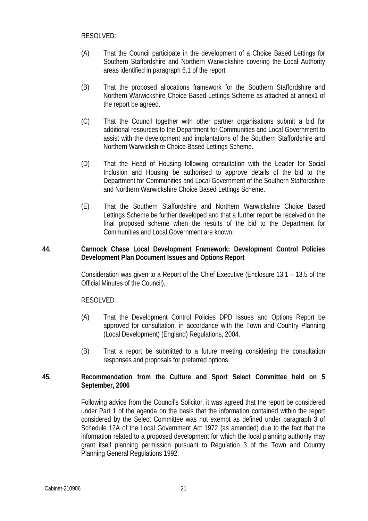- (A) That the Council participate in the development of a Choice Based Lettings for Southern Staffordshire and Northern Warwickshire covering the Local Authority areas identified in paragraph 6.1 of the report.
- (B) That the proposed allocations framework for the Southern Staffordshire and Northern Warwickshire Choice Based Lettings Scheme as attached at annex1 of the report be agreed.
- (C) That the Council together with other partner organisations submit a bid for additional resources to the Department for Communities and Local Government to assist with the development and implantations of the Southern Staffordshire and Northern Warwickshire Choice Based Lettings Scheme.
- (D) That the Head of Housing following consultation with the Leader for Social Inclusion and Housing be authorised to approve details of the bid to the Department for Communities and Local Government of the Southern Staffordshire and Northern Warwickshire Choice Based Lettings Scheme.
- (E) That the Southern Staffordshire and Northern Warwickshire Choice Based Lettings Scheme be further developed and that a further report be received on the final proposed scheme when the results of the bid to the Department for Communities and Local Government are known.

# **44. Cannock Chase Local Development Framework: Development Control Policies Development Plan Document Issues and Options Report**

Consideration was given to a Report of the Chief Executive (Enclosure 13.1 – 13.5 of the Official Minutes of the Council).

# RESOLVED:

- (A) That the Development Control Policies DPD Issues and Options Report be approved for consultation, in accordance with the Town and Country Planning (Local Development) (England) Regulations, 2004.
- (B) That a report be submitted to a future meeting considering the consultation responses and proposals for preferred options.

## **45. Recommendation from the Culture and Sport Select Committee held on 5 September, 2006**

Following advice from the Council's Solicitor, it was agreed that the report be considered under Part 1 of the agenda on the basis that the information contained within the report considered by the Select Committee was not exempt as defined under paragraph 3 of Schedule 12A of the Local Government Act 1972 (as amended) due to the fact that the information related to a proposed development for which the local planning authority may grant itself planning permission pursuant to Regulation 3 of the Town and Country Planning General Regulations 1992.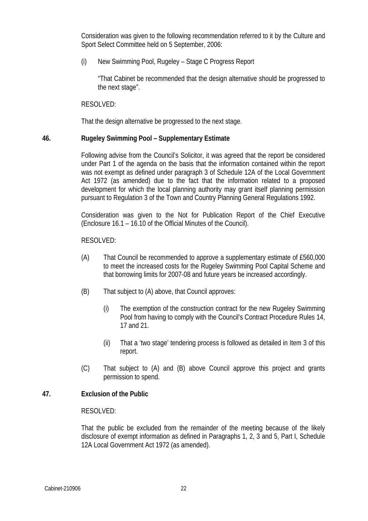Consideration was given to the following recommendation referred to it by the Culture and Sport Select Committee held on 5 September, 2006:

(i) New Swimming Pool, Rugeley – Stage C Progress Report

"That Cabinet be recommended that the design alternative should be progressed to the next stage".

### RESOLVED:

That the design alternative be progressed to the next stage.

### **46. Rugeley Swimming Pool – Supplementary Estimate**

Following advise from the Council's Solicitor, it was agreed that the report be considered under Part 1 of the agenda on the basis that the information contained within the report was not exempt as defined under paragraph 3 of Schedule 12A of the Local Government Act 1972 (as amended) due to the fact that the information related to a proposed development for which the local planning authority may grant itself planning permission pursuant to Regulation 3 of the Town and Country Planning General Regulations 1992.

Consideration was given to the Not for Publication Report of the Chief Executive (Enclosure 16.1 – 16.10 of the Official Minutes of the Council).

RESOLVED:

- (A) That Council be recommended to approve a supplementary estimate of £560,000 to meet the increased costs for the Rugeley Swimming Pool Capital Scheme and that borrowing limits for 2007-08 and future years be increased accordingly.
- (B) That subject to (A) above, that Council approves:
	- (i) The exemption of the construction contract for the new Rugeley Swimming Pool from having to comply with the Council's Contract Procedure Rules 14, 17 and 21.
	- (ii) That a 'two stage' tendering process is followed as detailed in Item 3 of this report.
- (C) That subject to (A) and (B) above Council approve this project and grants permission to spend.

### **47. Exclusion of the Public**

#### RESOLVED:

That the public be excluded from the remainder of the meeting because of the likely disclosure of exempt information as defined in Paragraphs 1, 2, 3 and 5, Part I, Schedule 12A Local Government Act 1972 (as amended).